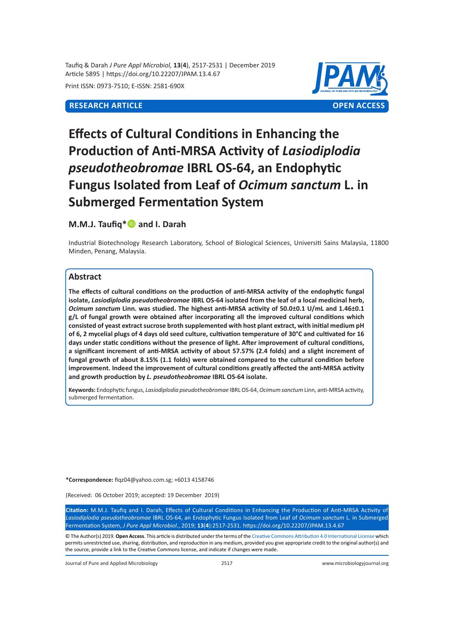Taufiq & Darah *J Pure Appl Microbiol,* **13**(**4**), 2517-2531 | December 2019 Article 5895 | https://doi.org/10.22207/JPAM.13.4.67

Print ISSN: 0973-7510; E-ISSN: 2581-690X



# **Effects of Cultural Conditions in Enhancing the Production of Anti-MRSA Activity of** *Lasiodiplodia pseudotheobromae* **IBRL OS-64, an Endophytic Fungus Isolated from Leaf of** *Ocimum sanctum* **L. in Submerged Fermentation System**

# **M.M.J. Taufig\*** and I. Darah

Industrial Biotechnology Research Laboratory, School of Biological Sciences, Universiti Sains Malaysia, 11800 Minden, Penang, Malaysia.

# **Abstract**

**The effects of cultural conditions on the production of anti-MRSA activity of the endophytic fungal isolate,** *Lasiodiplodia pseudotheobromae* **IBRL OS-64 isolated from the leaf of a local medicinal herb,**  *Ocimum sanctum* **Linn. was studied. The highest anti-MRSA activity of 50.0±0.1 U/mL and 1.46±0.1 g/L of fungal growth were obtained after incorporating all the improved cultural conditions which consisted of yeast extract sucrose broth supplemented with host plant extract, with initial medium pH of 6, 2 mycelial plugs of 4 days old seed culture, cultivation temperature of 30°C and cultivated for 16 days under static conditions without the presence of light. After improvement of cultural conditions, a significant increment of anti-MRSA activity of about 57.57% (2.4 folds) and a slight increment of fungal growth of about 8.15% (1.1 folds) were obtained compared to the cultural condition before improvement. Indeed the improvement of cultural conditions greatly affected the anti-MRSA activity and growth production by** *L. pseudotheobromae* **IBRL OS-64 isolate.**

**Keywords:** Endophytic fungus, *Lasiodiplodia pseudotheobromae* IBRL OS-64, *Ocimum sanctum* Linn, anti-MRSA activity, submerged fermentation.

**\*Correspondence:** fiqz04@yahoo.com.sg; +6013 4158746

(Received: 06 October 2019; accepted: 19 December 2019)

**Citation:** M.M.J. Taufiq and I. Darah, Effects of Cultural Conditions in Enhancing the Production of Anti-MRSA Activity of *Lasiodiplodia pseudotheobromae* IBRL OS-64, an Endophytic Fungus Isolated from Leaf of *Ocimum sanctum* L. in Submerged Fermentation System, *J Pure Appl Microbiol*., 2019; **13**(**4**):2517-2531. https://doi.org/10.22207/JPAM.13.4.67

© The Author(s) 2019. **Open Access**. This article is distributed under the terms of the [Creative Commons Attribution 4.0 International License](https://creativecommons.org/licenses/by/4.0/) which permits unrestricted use, sharing, distribution, and reproduction in any medium, provided you give appropriate credit to the original author(s) and the source, provide a link to the Creative Commons license, and indicate if changes were made.

Journal of Pure and Applied Microbiology 2517 www.microbiologyjournal.org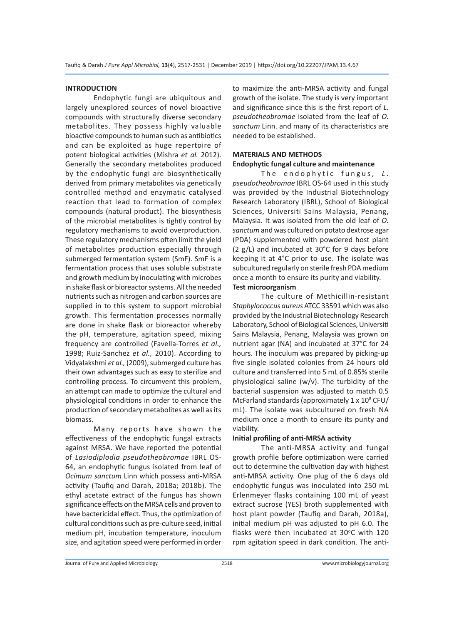# **INTRODUCTION**

Endophytic fungi are ubiquitous and largely unexplored sources of novel bioactive compounds with structurally diverse secondary metabolites. They possess highly valuable bioactive compounds to human such as antibiotics and can be exploited as huge repertoire of potent biological activities (Mishra *et al.* 2012). Generally the secondary metabolites produced by the endophytic fungi are biosynthetically derived from primary metabolites via genetically controlled method and enzymatic catalysed reaction that lead to formation of complex compounds (natural product). The biosynthesis of the microbial metabolites is tightly control by regulatory mechanisms to avoid overproduction. These regulatory mechanisms often limit the yield of metabolites production especially through submerged fermentation system (SmF). SmF is a fermentation process that uses soluble substrate and growth medium by inoculating with microbes in shake flask or bioreactor systems. All the needed nutrients such as nitrogen and carbon sources are supplied in to this system to support microbial growth. This fermentation processes normally are done in shake flask or bioreactor whereby the pH, temperature, agitation speed, mixing frequency are controlled (Favella-Torres *et al.,* 1998; Ruiz-Sanchez *et al.,* 2010). According to Vidyalakshmi *et al.,* (2009), submerged culture has their own advantages such as easy to sterilize and controlling process. To circumvent this problem, an attempt can made to optimize the cultural and physiological conditions in order to enhance the production of secondary metabolites as well as its biomass.

Many reports have shown the effectiveness of the endophytic fungal extracts against MRSA. We have reported the potential of *Lasiodiplodia pseudotheobromae* IBRL OS-64, an endophytic fungus isolated from leaf of *Ocimum sanctum* Linn which possess anti-MRSA activity (Taufiq and Darah, 2018a; 2018b). The ethyl acetate extract of the fungus has shown significance effects on the MRSA cells and proven to have bactericidal effect. Thus, the optimization of cultural conditions such as pre-culture seed, initial medium pH, incubation temperature, inoculum size, and agitation speed were performed in order

to maximize the anti-MRSA activity and fungal growth of the isolate. The study is very important and significance since this is the first report of *L. pseudotheobromae* isolated from the leaf of *O. sanctum* Linn. and many of its characteristics are needed to be established.

# **MATERIALS AND METHODS Endophytic fungal culture and maintenance**

The endophytic fungus, L. *pseudotheobromae* IBRL OS-64 used in this study was provided by the Industrial Biotechnology Research Laboratory (IBRL), School of Biological Sciences, Universiti Sains Malaysia, Penang, Malaysia. It was isolated from the old leaf of *O. sanctum* and was cultured on potato dextrose agar (PDA) supplemented with powdered host plant (2 g/L) and incubated at 30°C for 9 days before keeping it at 4°C prior to use. The isolate was subcultured regularly on sterile fresh PDA medium once a month to ensure its purity and viability. **Test microorganism** 

The culture of Methicillin-resistant *Staphylococcus aureus* ATCC 33591 which was also provided by the Industrial Biotechnology Research Laboratory, School of Biological Sciences, Universiti Sains Malaysia, Penang, Malaysia was grown on nutrient agar (NA) and incubated at 37°C for 24 hours. The inoculum was prepared by picking-up five single isolated colonies from 24 hours old culture and transferred into 5 mL of 0.85% sterile physiological saline (w/v). The turbidity of the bacterial suspension was adjusted to match 0.5 McFarland standards (approximately  $1 \times 10^8$  CFU/ mL). The isolate was subcultured on fresh NA medium once a month to ensure its purity and viability.

#### **Initial profiling of anti-MRSA activity**

The anti-MRSA activity and fungal growth profile before optimization were carried out to determine the cultivation day with highest anti-MRSA activity. One plug of the 6 days old endophytic fungus was inoculated into 250 mL Erlenmeyer flasks containing 100 mL of yeast extract sucrose (YES) broth supplemented with host plant powder (Taufiq and Darah, 2018a), initial medium pH was adjusted to pH 6.0. The flasks were then incubated at 30°C with 120 rpm agitation speed in dark condition. The anti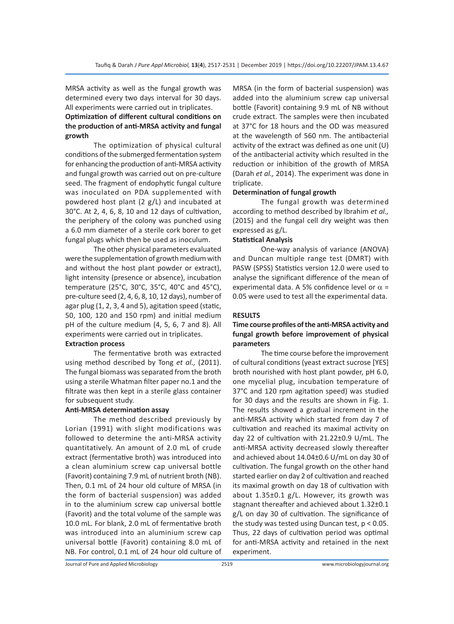MRSA activity as well as the fungal growth was determined every two days interval for 30 days. All experiments were carried out in triplicates.

# **Optimization of different cultural conditions on the production of anti-MRSA activity and fungal growth**

The optimization of physical cultural conditions of the submerged fermentation system for enhancing the production of anti-MRSA activity and fungal growth was carried out on pre-culture seed. The fragment of endophytic fungal culture was inoculated on PDA supplemented with powdered host plant (2 g/L) and incubated at 30°C. At 2, 4, 6, 8, 10 and 12 days of cultivation, the periphery of the colony was punched using a 6.0 mm diameter of a sterile cork borer to get fungal plugs which then be used as inoculum.

The other physical parameters evaluated were the supplementation of growth medium with and without the host plant powder or extract), light intensity (presence or absence), incubation temperature (25°C, 30°C, 35°C, 40°C and 45°C), pre-culture seed (2, 4, 6, 8, 10, 12 days), number of agar plug (1, 2, 3, 4 and 5), agitation speed (static, 50, 100, 120 and 150 rpm) and initial medium pH of the culture medium (4, 5, 6, 7 and 8). All experiments were carried out in triplicates.

# **Extraction process**

The fermentative broth was extracted using method described by Tong *et al.,* (2011). The fungal biomass was separated from the broth using a sterile Whatman filter paper no.1 and the filtrate was then kept in a sterile glass container for subsequent study.

#### **Anti-MRSA determination assay**

The method described previously by Lorian (1991) with slight modifications was followed to determine the anti-MRSA activity quantitatively. An amount of 2.0 mL of crude extract (fermentative broth) was introduced into a clean aluminium screw cap universal bottle (Favorit) containing 7.9 mL of nutrient broth (NB). Then, 0.1 mL of 24 hour old culture of MRSA (in the form of bacterial suspension) was added in to the aluminium screw cap universal bottle (Favorit) and the total volume of the sample was 10.0 mL. For blank, 2.0 mL of fermentative broth was introduced into an aluminium screw cap universal bottle (Favorit) containing 8.0 mL of NB. For control, 0.1 mL of 24 hour old culture of

MRSA (in the form of bacterial suspension) was added into the aluminium screw cap universal bottle (Favorit) containing 9.9 mL of NB without crude extract. The samples were then incubated at 37°C for 18 hours and the OD was measured at the wavelength of 560 nm. The antibacterial activity of the extract was defined as one unit (U) of the antibacterial activity which resulted in the reduction or inhibition of the growth of MRSA (Darah *et al.,* 2014). The experiment was done in triplicate.

# **Determination of fungal growth**

The fungal growth was determined according to method described by Ibrahim *et al.,* (2015) and the fungal cell dry weight was then expressed as g/L.

# **Statistical Analysis**

One-way analysis of variance (ANOVA) and Duncan multiple range test (DMRT) with PASW (SPSS) Statistics version 12.0 were used to analyse the significant difference of the mean of experimental data. A 5% confidence level or  $\alpha$  = 0.05 were used to test all the experimental data.

# **RESULTS**

# **Time course profiles of the anti-MRSA activity and fungal growth before improvement of physical parameters**

The time course before the improvement of cultural conditions (yeast extract sucrose [YES] broth nourished with host plant powder, pH 6.0, one mycelial plug, incubation temperature of 37°C and 120 rpm agitation speed) was studied for 30 days and the results are shown in Fig. 1. The results showed a gradual increment in the anti-MRSA activity which started from day 7 of cultivation and reached its maximal activity on day 22 of cultivation with 21.22±0.9 U/mL. The anti-MRSA activity decreased slowly thereafter and achieved about 14.04±0.6 U/mL on day 30 of cultivation. The fungal growth on the other hand started earlier on day 2 of cultivation and reached its maximal growth on day 18 of cultivation with about 1.35±0.1 g/L. However, its growth was stagnant thereafter and achieved about 1.32±0.1 g/L on day 30 of cultivation. The significance of the study was tested using Duncan test,  $p < 0.05$ . Thus, 22 days of cultivation period was optimal for anti-MRSA activity and retained in the next experiment.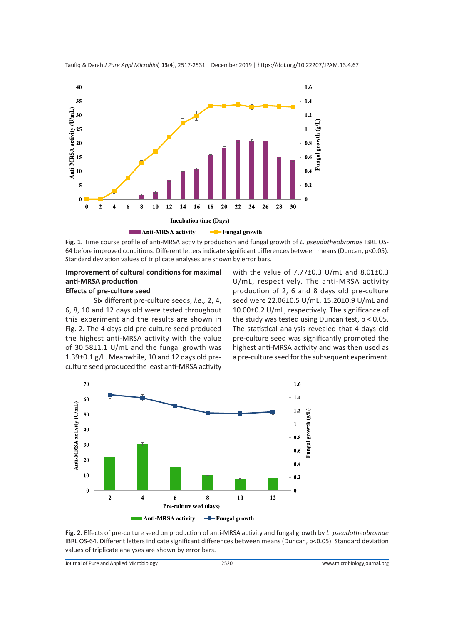

**Fig. 1.** Time course profile of anti-MRSA activity production and fungal growth of *L. pseudotheobromae* IBRL OS-64 before improved conditions. Different letters indicate significant differences between means (Duncan, p<0.05). Standard deviation values of triplicate analyses are shown by error bars.

# **Improvement of cultural conditions for maximal anti-MRSA production**

# **Effects of pre-culture seed**

Six different pre-culture seeds, *i.e.,* 2, 4, 6, 8, 10 and 12 days old were tested throughout this experiment and the results are shown in Fig. 2. The 4 days old pre-culture seed produced the highest anti-MRSA activity with the value of 30.58±1.1 U/mL and the fungal growth was 1.39±0.1 g/L. Meanwhile, 10 and 12 days old preculture seed produced the least anti-MRSA activity with the value of 7.77±0.3 U/mL and 8.01±0.3 U/mL, respectively. The anti-MRSA activity production of 2, 6 and 8 days old pre-culture seed were 22.06±0.5 U/mL, 15.20±0.9 U/mL and 10.00±0.2 U/mL, respectively. The significance of the study was tested using Duncan test,  $p < 0.05$ . The statistical analysis revealed that 4 days old pre-culture seed was significantly promoted the highest anti-MRSA activity and was then used as a pre-culture seed for the subsequent experiment.



**Fig. 2.** Effects of pre-culture seed on production of anti-MRSA activity and fungal growth by *L. pseudotheobromae* IBRL OS-64. Different letters indicate significant differences between means (Duncan, p<0.05). Standard deviation values of triplicate analyses are shown by error bars.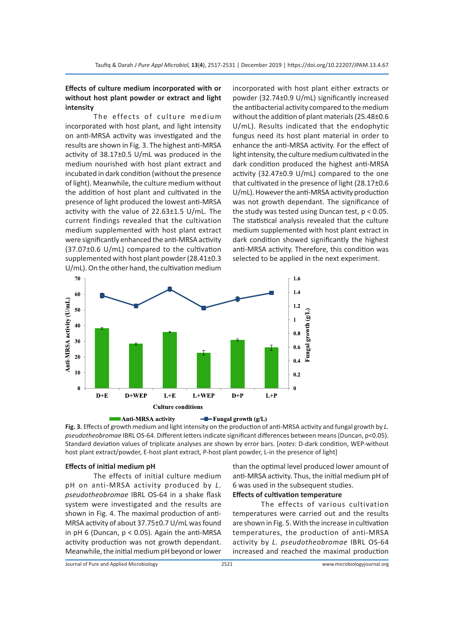# **Effects of culture medium incorporated with or without host plant powder or extract and light intensity**

The effects of culture medium incorporated with host plant, and light intensity on anti-MRSA activity was investigated and the results are shown in Fig. 3. The highest anti-MRSA activity of 38.17±0.5 U/mL was produced in the medium nourished with host plant extract and incubated in dark condition (without the presence of light). Meanwhile, the culture medium without the addition of host plant and cultivated in the presence of light produced the lowest anti-MRSA activity with the value of 22.63±1.5 U/mL. The current findings revealed that the cultivation medium supplemented with host plant extract were significantly enhanced the anti-MRSA activity (37.07±0.6 U/mL) compared to the cultivation supplemented with host plant powder (28.41±0.3 U/mL). On the other hand, the cultivation medium incorporated with host plant either extracts or powder (32.74±0.9 U/mL) significantly increased the antibacterial activity compared to the medium without the addition of plant materials (25.48±0.6 U/mL). Results indicated that the endophytic fungus need its host plant material in order to enhance the anti-MRSA activity. For the effect of light intensity, the culture medium cultivated in the dark condition produced the highest anti-MRSA activity (32.47±0.9 U/mL) compared to the one that cultivated in the presence of light (28.17±0.6 U/mL). However the anti-MRSA activity production was not growth dependant. The significance of the study was tested using Duncan test,  $p < 0.05$ . The statistical analysis revealed that the culture medium supplemented with host plant extract in dark condition showed significantly the highest anti-MRSA activity. Therefore, this condition was selected to be applied in the next experiment.





host plant extract/powder, E-host plant extract, P-host plant powder, L-in the presence of light]

#### **Effects of initial medium pH**

The effects of initial culture medium pH on anti-MRSA activity produced by *L. pseudotheobromae* IBRL OS-64 in a shake flask system were investigated and the results are shown in Fig. 4. The maximal production of anti-MRSA activity of about 37.75±0.7 U/mL was found in pH 6 (Duncan, p < 0.05). Again the anti-MRSA activity production was not growth dependant. Meanwhile, the initial medium pH beyond or lower than the optimal level produced lower amount of anti-MRSA activity. Thus, the initial medium pH of 6 was used in the subsequent studies.

# **Effects of cultivation temperature**

The effects of various cultivation temperatures were carried out and the results are shown in Fig. 5. With the increase in cultivation temperatures, the production of anti-MRSA activity by *L. pseudotheobromae* IBRL OS-64 increased and reached the maximal production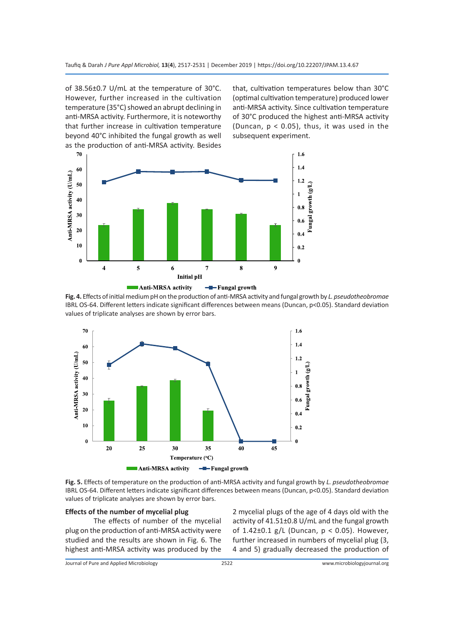of 38.56±0.7 U/mL at the temperature of 30°C. However, further increased in the cultivation temperature (35°C) showed an abrupt declining in anti-MRSA activity. Furthermore, it is noteworthy that further increase in cultivation temperature beyond 40°C inhibited the fungal growth as well as the production of anti-MRSA activity. Besides that, cultivation temperatures below than 30°C (optimal cultivation temperature) produced lower anti-MRSA activity. Since cultivation temperature of 30°C produced the highest anti-MRSA activity (Duncan,  $p < 0.05$ ), thus, it was used in the subsequent experiment.



**Fig. 4.** Effects of initial medium pH on the production of anti-MRSA activity and fungal growth by *L. pseudotheobromae* IBRL OS-64. Different letters indicate significant differences between means (Duncan, p<0.05). Standard deviation values of triplicate analyses are shown by error bars.



**Fig. 5.** Effects of temperature on the production of anti-MRSA activity and fungal growth by *L. pseudotheobromae* IBRL OS-64. Different letters indicate significant differences between means (Duncan, p<0.05). Standard deviation values of triplicate analyses are shown by error bars.

# **Effects of the number of mycelial plug**

The effects of number of the mycelial plug on the production of anti-MRSA activity were studied and the results are shown in Fig. 6. The highest anti-MRSA activity was produced by the

2 mycelial plugs of the age of 4 days old with the activity of 41.51±0.8 U/mL and the fungal growth of 1.42 $\pm$ 0.1 g/L (Duncan, p < 0.05). However, further increased in numbers of mycelial plug (3, 4 and 5) gradually decreased the production of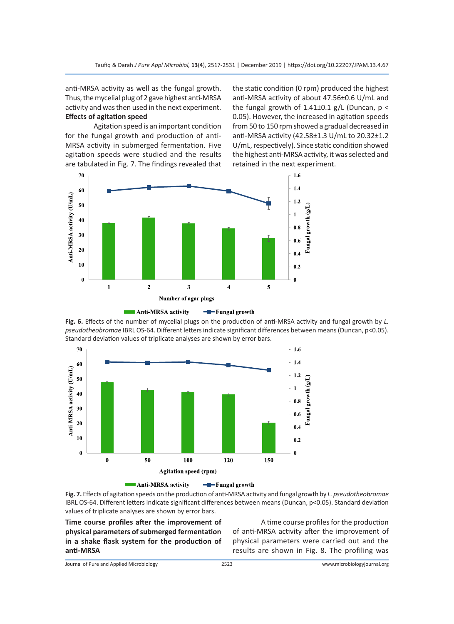anti-MRSA activity as well as the fungal growth. Thus, the mycelial plug of 2 gave highest anti-MRSA activity and was then used in the next experiment. **Effects of agitation speed**

Agitation speed is an important condition for the fungal growth and production of anti-MRSA activity in submerged fermentation. Five agitation speeds were studied and the results are tabulated in Fig. 7. The findings revealed that the static condition (0 rpm) produced the highest anti-MRSA activity of about 47.56±0.6 U/mL and the fungal growth of  $1.41\pm0.1$  g/L (Duncan,  $p <$ 0.05). However, the increased in agitation speeds from 50 to 150 rpm showed a gradual decreased in anti-MRSA activity (42.58±1.3 U/mL to 20.32±1.2 U/mL, respectively). Since static condition showed the highest anti-MRSA activity, it was selected and retained in the next experiment.



**Fig. 6.** Effects of the number of mycelial plugs on the production of anti-MRSA activity and fungal growth by *L. pseudotheobromae* IBRL OS-64. Different letters indicate significant differences between means (Duncan, p<0.05). Standard deviation values of triplicate analyses are shown by error bars.





**Time course profiles after the improvement of physical parameters of submerged fermentation in a shake flask system for the production of anti-MRSA**

A time course profiles for the production of anti-MRSA activity after the improvement of physical parameters were carried out and the results are shown in Fig. 8. The profiling was

Journal of Pure and Applied Microbiology 2523 www.microbiologyjournal.org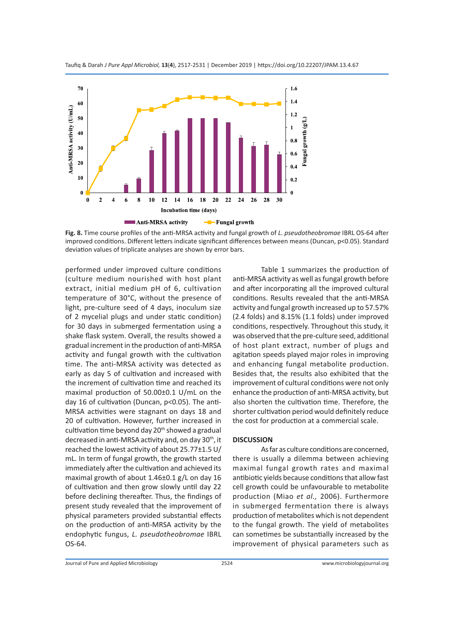



performed under improved culture conditions (culture medium nourished with host plant extract, initial medium pH of 6, cultivation temperature of 30°C, without the presence of light, pre-culture seed of 4 days, inoculum size of 2 mycelial plugs and under static condition) for 30 days in submerged fermentation using a shake flask system. Overall, the results showed a gradual increment in the production of anti-MRSA activity and fungal growth with the cultivation time. The anti-MRSA activity was detected as early as day 5 of cultivation and increased with the increment of cultivation time and reached its maximal production of 50.00±0.1 U/mL on the day 16 of cultivation (Duncan, p<0.05). The anti-MRSA activities were stagnant on days 18 and 20 of cultivation. However, further increased in cultivation time beyond day  $20<sup>th</sup>$  showed a gradual decreased in anti-MRSA activity and, on day 30th, it reached the lowest activity of about 25.77±1.5 U/ mL. In term of fungal growth, the growth started immediately after the cultivation and achieved its maximal growth of about 1.46±0.1 g/L on day 16 of cultivation and then grow slowly until day 22 before declining thereafter. Thus, the findings of present study revealed that the improvement of physical parameters provided substantial effects on the production of anti-MRSA activity by the endophytic fungus, *L. pseudotheobromae* IBRL OS-64.

Table 1 summarizes the production of anti-MRSA activity as well as fungal growth before and after incorporating all the improved cultural conditions. Results revealed that the anti-MRSA activity and fungal growth increased up to 57.57% (2.4 folds) and 8.15% (1.1 folds) under improved conditions, respectively. Throughout this study, it was observed that the pre-culture seed, additional of host plant extract, number of plugs and agitation speeds played major roles in improving and enhancing fungal metabolite production. Besides that, the results also exhibited that the improvement of cultural conditions were not only enhance the production of anti-MRSA activity, but also shorten the cultivation time. Therefore, the shorter cultivation period would definitely reduce the cost for production at a commercial scale.

# **DISCUSSION**

As far as culture conditions are concerned, there is usually a dilemma between achieving maximal fungal growth rates and maximal antibiotic yields because conditions that allow fast cell growth could be unfavourable to metabolite production (Miao *et al.,* 2006). Furthermore in submerged fermentation there is always production of metabolites which is not dependent to the fungal growth. The yield of metabolites can sometimes be substantially increased by the improvement of physical parameters such as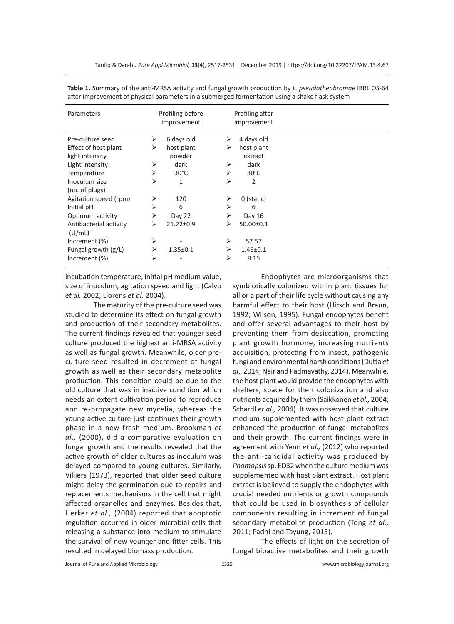| Parameters                       |   | Profiling before<br>improvement |   | Profiling after<br>improvement |  |
|----------------------------------|---|---------------------------------|---|--------------------------------|--|
| Pre-culture seed                 | ➤ | 6 days old                      | ⋗ | 4 days old                     |  |
| Effect of host plant             | ⋗ | host plant                      | ⋗ | host plant                     |  |
| light intensity                  |   | powder                          |   | extract                        |  |
| Light intensity                  | ⋗ | dark                            | ⋗ | dark                           |  |
| Temperature                      | ⋗ | $30^{\circ}$ C                  | ⋗ | $30^{\circ}$ C                 |  |
| Inoculum size                    | ⋗ | 1                               | ⋗ | $\overline{2}$                 |  |
| (no. of plugs)                   |   |                                 |   |                                |  |
| Agitation speed (rpm)            | ⋗ | 120                             | ⋗ | $0$ (static)                   |  |
| Initial pH                       | ⋗ | 6                               | ⋗ | 6                              |  |
| Optimum activity                 | ⋗ | Day 22                          | ⋗ | Day 16                         |  |
| Antibacterial activity<br>(U/mL) | ⋗ | 21.22±0.9                       | ↘ | $50.00 \pm 0.1$                |  |
| Increment (%)                    | ➤ |                                 | ⋗ | 57.57                          |  |
| Fungal growth $(g/L)$            | ⋗ | $1.35 \pm 0.1$                  | ⋗ | $1.46 \pm 0.1$                 |  |
| Increment (%)                    | ⋗ |                                 | ⋗ | 8.15                           |  |

**Table 1.** Summary of the anti-MRSA activity and fungal growth production by *L. pseudotheobromae* IBRL OS-64 after improvement of physical parameters in a submerged fermentation using a shake flask system

incubation temperature, initial pH medium value, size of inoculum, agitation speed and light (Calvo *et al.* 2002; Llorens *et al.* 2004).

The maturity of the pre-culture seed was studied to determine its effect on fungal growth and production of their secondary metabolites. The current findings revealed that younger seed culture produced the highest anti-MRSA activity as well as fungal growth. Meanwhile, older preculture seed resulted in decrement of fungal growth as well as their secondary metabolite production. This condition could be due to the old culture that was in inactive condition which needs an extent cultivation period to reproduce and re-propagate new mycelia, whereas the young active culture just continues their growth phase in a new fresh medium. Brookman *et al.,* (2000), did a comparative evaluation on fungal growth and the results revealed that the active growth of older cultures as inoculum was delayed compared to young cultures. Similarly, Villiers (1973), reported that older seed culture might delay the germination due to repairs and replacements mechanisms in the cell that might affected organelles and enzymes. Besides that, Herker *et al.,* (2004) reported that apoptotic regulation occurred in older microbial cells that releasing a substance into medium to stimulate the survival of new younger and fitter cells. This resulted in delayed biomass production.

Endophytes are microorganisms that symbiotically colonized within plant tissues for all or a part of their life cycle without causing any harmful effect to their host (Hirsch and Braun, 1992; Wilson, 1995). Fungal endophytes benefit and offer several advantages to their host by preventing them from desiccation, promoting plant growth hormone, increasing nutrients acquisition, protecting from insect, pathogenic fungi and environmental harsh conditions (Dutta *et al*., 2014; Nair and Padmavathy, 2014). Meanwhile, the host plant would provide the endophytes with shelters, space for their colonization and also nutrients acquired by them (Saikkonen *et al.,* 2004; Schardl *et al.,* 2004). It was observed that culture medium supplemented with host plant extract enhanced the production of fungal metabolites and their growth. The current findings were in agreement with Yenn *et al.,* (2012) who reported the anti-candidal activity was produced by *Phomopsis* sp. ED32 when the culture medium was supplemented with host plant extract. Host plant extract is believed to supply the endophytes with crucial needed nutrients or growth compounds that could be used in biosynthesis of cellular components resulting in increment of fungal secondary metabolite production (Tong *et al.,* 2011; Padhi and Tayung, 2013).

The effects of light on the secretion of fungal bioactive metabolites and their growth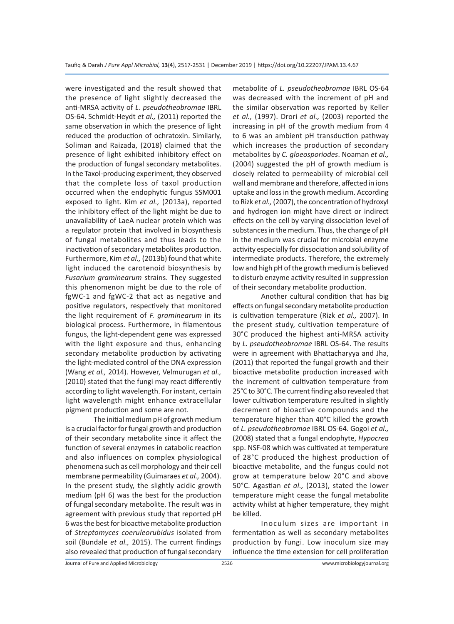were investigated and the result showed that the presence of light slightly decreased the anti-MRSA activity of *L. pseudotheobromae* IBRL OS-64. Schmidt-Heydt *et al.,* (2011) reported the same observation in which the presence of light reduced the production of ochratoxin. Similarly, Soliman and Raizada, (2018) claimed that the presence of light exhibited inhibitory effect on the production of fungal secondary metabolites. In the Taxol-producing experiment, they observed that the complete loss of taxol production occurred when the endophytic fungus SSM001 exposed to light. Kim *et al.,* (2013a), reported the inhibitory effect of the light might be due to unavailability of LaeA nuclear protein which was a regulator protein that involved in biosynthesis of fungal metabolites and thus leads to the inactivation of secondary metabolites production. Furthermore, Kim *et al.,* (2013b) found that white light induced the carotenoid biosynthesis by *Fusarium graminearum* strains. They suggested this phenomenon might be due to the role of fgWC-1 and fgWC-2 that act as negative and positive regulators, respectively that monitored the light requirement of *F. graminearum* in its biological process. Furthermore, in filamentous fungus, the light-dependent gene was expressed with the light exposure and thus, enhancing secondary metabolite production by activating the light-mediated control of the DNA expression (Wang *et al.,* 2014). However, Velmurugan *et al.,* (2010) stated that the fungi may react differently according to light wavelength. For instant, certain light wavelength might enhance extracellular pigment production and some are not.

The initial medium pH of growth medium is a crucial factor for fungal growth and production of their secondary metabolite since it affect the function of several enzymes in catabolic reaction and also influences on complex physiological phenomena such as cell morphology and their cell membrane permeability (Guimaraes *et al.,* 2004). In the present study, the slightly acidic growth medium (pH 6) was the best for the production of fungal secondary metabolite. The result was in agreement with previous study that reported pH 6 was the best for bioactive metabolite production of *Streptomyces coeruleorubidus* isolated from soil (Bundale *et al.,* 2015). The current findings also revealed that production of fungal secondary metabolite of *L. pseudotheobromae* IBRL OS-64 was decreased with the increment of pH and the similar observation was reported by Keller *et al.,* (1997). Drori *et al.,* (2003) reported the increasing in pH of the growth medium from 4 to 6 was an ambient pH transduction pathway which increases the production of secondary metabolites by *C. gloeosporiodes*. Noaman *et al.,* (2004) suggested the pH of growth medium is closely related to permeability of microbial cell wall and membrane and therefore, affected in ions uptake and loss in the growth medium. According to Rizk *et al.,* (2007), the concentration of hydroxyl and hydrogen ion might have direct or indirect effects on the cell by varying dissociation level of substances in the medium. Thus, the change of pH in the medium was crucial for microbial enzyme activity especially for dissociation and solubility of intermediate products. Therefore, the extremely low and high pH of the growth medium is believed to disturb enzyme activity resulted in suppression of their secondary metabolite production.

Another cultural condition that has big effects on fungal secondary metabolite production is cultivation temperature (Rizk *et al.,* 2007). In the present study, cultivation temperature of 30°C produced the highest anti-MRSA activity by *L. pseudotheobromae* IBRL OS-64. The results were in agreement with Bhattacharyya and Jha, (2011) that reported the fungal growth and their bioactive metabolite production increased with the increment of cultivation temperature from 25°C to 30°C. The current finding also revealed that lower cultivation temperature resulted in slightly decrement of bioactive compounds and the temperature higher than 40°C killed the growth of *L. pseudotheobromae* IBRL OS-64. Gogoi *et al.,* (2008) stated that a fungal endophyte, *Hypocrea* spp. NSF-08 which was cultivated at temperature of 28°C produced the highest production of bioactive metabolite, and the fungus could not grow at temperature below 20°C and above 50°C. Agastian *et al.,* (2013), stated the lower temperature might cease the fungal metabolite activity whilst at higher temperature, they might be killed.

Inoculum sizes are important in fermentation as well as secondary metabolites production by fungi. Low inoculum size may influence the time extension for cell proliferation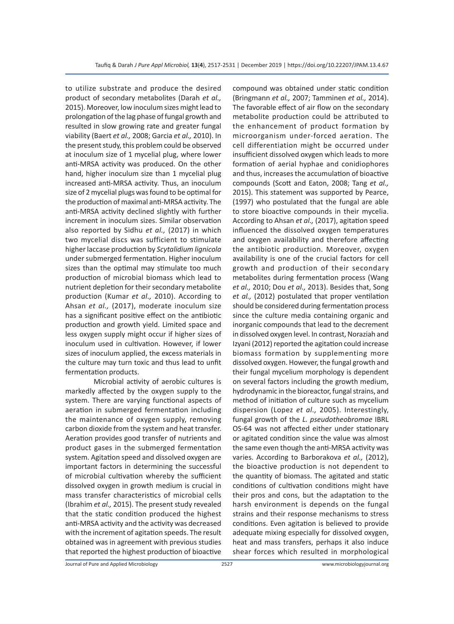to utilize substrate and produce the desired product of secondary metabolites (Darah *et al.,* 2015). Moreover, low inoculum sizes might lead to prolongation of the lag phase of fungal growth and resulted in slow growing rate and greater fungal viability (Baert *et al.,* 2008; Garcia *et al.,* 2010). In the present study, this problem could be observed at inoculum size of 1 mycelial plug, where lower anti-MRSA activity was produced. On the other hand, higher inoculum size than 1 mycelial plug increased anti-MRSA activity. Thus, an inoculum size of 2 mycelial plugs was found to be optimal for the production of maximal anti-MRSA activity. The anti-MRSA activity declined slightly with further increment in inoculum sizes. Similar observation also reported by Sidhu *et al.,* (2017) in which two mycelial discs was sufficient to stimulate higher laccase production by *Scytalidium lignicola* under submerged fermentation. Higher inoculum sizes than the optimal may stimulate too much production of microbial biomass which lead to nutrient depletion for their secondary metabolite production (Kumar *et al.,* 2010). According to Ahsan *et al.,* (2017), moderate inoculum size has a significant positive effect on the antibiotic production and growth yield. Limited space and less oxygen supply might occur if higher sizes of inoculum used in cultivation. However, if lower sizes of inoculum applied, the excess materials in the culture may turn toxic and thus lead to unfit fermentation products.

Microbial activity of aerobic cultures is markedly affected by the oxygen supply to the system. There are varying functional aspects of aeration in submerged fermentation including the maintenance of oxygen supply, removing carbon dioxide from the system and heat transfer. Aeration provides good transfer of nutrients and product gases in the submerged fermentation system. Agitation speed and dissolved oxygen are important factors in determining the successful of microbial cultivation whereby the sufficient dissolved oxygen in growth medium is crucial in mass transfer characteristics of microbial cells (Ibrahim *et al.,* 2015). The present study revealed that the static condition produced the highest anti-MRSA activity and the activity was decreased with the increment of agitation speeds. The result obtained was in agreement with previous studies that reported the highest production of bioactive compound was obtained under static condition (Bringmann *et al.,* 2007; Tamminen *et al.,* 2014). The favorable effect of air flow on the secondary metabolite production could be attributed to the enhancement of product formation by microorganism under-forced aeration. The cell differentiation might be occurred under insufficient dissolved oxygen which leads to more formation of aerial hyphae and conidiophores and thus, increases the accumulation of bioactive compounds (Scott and Eaton, 2008; Tang *et al.,* 2015). This statement was supported by Pearce, (1997) who postulated that the fungal are able to store bioactive compounds in their mycelia. According to Ahsan *et al.,* (2017), agitation speed influenced the dissolved oxygen temperatures and oxygen availability and therefore affecting the antibiotic production. Moreover, oxygen availability is one of the crucial factors for cell growth and production of their secondary metabolites during fermentation process (Wang *et al.,* 2010; Dou *et al.,* 2013). Besides that, Song *et al.,* (2012) postulated that proper ventilation should be considered during fermentation process since the culture media containing organic and inorganic compounds that lead to the decrement in dissolved oxygen level. In contrast, Noraziah and Izyani (2012) reported the agitation could increase biomass formation by supplementing more dissolved oxygen. However, the fungal growth and their fungal mycelium morphology is dependent on several factors including the growth medium, hydrodynamic in the bioreactor, fungal strains, and method of initiation of culture such as mycelium dispersion (Lopez *et al.,* 2005). Interestingly, fungal growth of the *L. pseudotheobromae* IBRL OS-64 was not affected either under stationary or agitated condition since the value was almost the same even though the anti-MRSA activity was varies. According to Barborakova *et al.,* (2012), the bioactive production is not dependent to the quantity of biomass. The agitated and static conditions of cultivation conditions might have their pros and cons, but the adaptation to the harsh environment is depends on the fungal strains and their response mechanisms to stress conditions. Even agitation is believed to provide adequate mixing especially for dissolved oxygen, heat and mass transfers, perhaps it also induce shear forces which resulted in morphological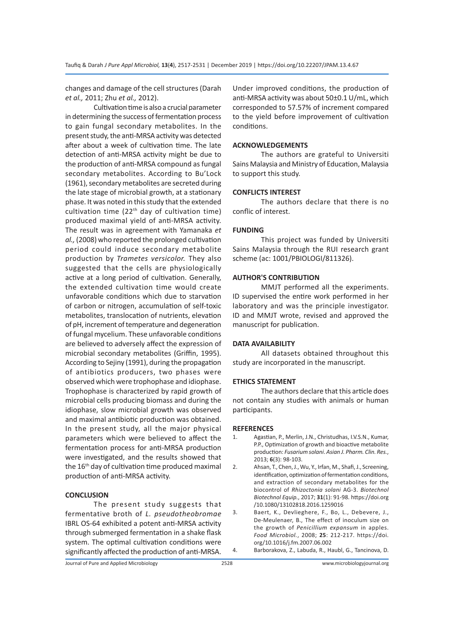changes and damage of the cell structures (Darah *et al.,* 2011; Zhu *et al.,* 2012).

Cultivation time is also a crucial parameter in determining the success of fermentation process to gain fungal secondary metabolites. In the present study, the anti-MRSA activity was detected after about a week of cultivation time. The late detection of anti-MRSA activity might be due to the production of anti-MRSA compound as fungal secondary metabolites. According to Bu'Lock (1961), secondary metabolites are secreted during the late stage of microbial growth, at a stationary phase. It was noted in this study that the extended cultivation time  $(22<sup>th</sup>$  day of cultivation time) produced maximal yield of anti-MRSA activity. The result was in agreement with Yamanaka *et al.,* (2008) who reported the prolonged cultivation period could induce secondary metabolite production by *Trametes versicolor.* They also suggested that the cells are physiologically active at a long period of cultivation. Generally, the extended cultivation time would create unfavorable conditions which due to starvation of carbon or nitrogen, accumulation of self-toxic metabolites, translocation of nutrients, elevation of pH, increment of temperature and degeneration of fungal mycelium. These unfavorable conditions are believed to adversely affect the expression of microbial secondary metabolites (Griffin, 1995). According to Sejiny (1991), during the propagation of antibiotics producers, two phases were observed which were trophophase and idiophase. Trophophase is characterized by rapid growth of microbial cells producing biomass and during the idiophase, slow microbial growth was observed and maximal antibiotic production was obtained. In the present study, all the major physical parameters which were believed to affect the fermentation process for anti-MRSA production were investigated, and the results showed that the 16<sup>th</sup> day of cultivation time produced maximal production of anti-MRSA activity.

# **CONCLUSION**

The present study suggests that fermentative broth of *L. pseudotheobromae* IBRL OS-64 exhibited a potent anti-MRSA activity through submerged fermentation in a shake flask system. The optimal cultivation conditions were significantly affected the production of anti-MRSA. Under improved conditions, the production of anti-MRSA activity was about 50±0.1 U/mL, which corresponded to 57.57% of increment compared to the yield before improvement of cultivation conditions.

# **ACKNOWLEDGEMENTS**

The authors are grateful to Universiti Sains Malaysia and Ministry of Education, Malaysia to support this study.

#### **CONFLICTS INTEREST**

The authors declare that there is no conflic of interest.

#### **FUNDING**

This project was funded by Universiti Sains Malaysia through the RUI research grant scheme (ac: 1001/PBIOLOGI/811326).

# **AUTHOR'S CONTRIBUTION**

MMJT performed all the experiments. ID supervised the entire work performed in her laboratory and was the principle investigator. ID and MMJT wrote, revised and approved the manuscript for publication.

#### **DATA AVAILABILITY**

All datasets obtained throughout this study are incorporated in the manuscript.

# **ETHICS STATEMENT**

The authors declare that this article does not contain any studies with animals or human participants.

#### **REFERENCES**

- 1. Agastian, P., Merlin, J.N., Christudhas, I.V.S.N., Kumar, P.P., Optimization of growth and bioactive metabolite production: *Fusarium solani*. *Asian J. Pharm. Clin. Res.*, 2013; **6**(3): 98-103.
- 2. Ahsan, T., Chen, J., Wu, Y., Irfan, M., Shafi, J., Screening, identification, optimization of fermentation conditions, and extraction of secondary metabolites for the biocontrol of *Rhizoctonia solani* AG-3. *Biotechnol Biotechnol Equip.*, 2017; **31**(1): 91-98. https://doi.org /10.1080/13102818.2016.1259016
- 3. Baert, K., Devlieghere, F., Bo, L., Debevere, J., De-Meulenaer, B., The effect of inoculum size on the growth of *Penicillium expansum* in apples. *Food Microbiol.*, 2008; **25**: 212-217. https://doi. org/10.1016/j.fm.2007.06.002
- 4. Barborakova, Z., Labuda, R., Haubl, G., Tancinova, D.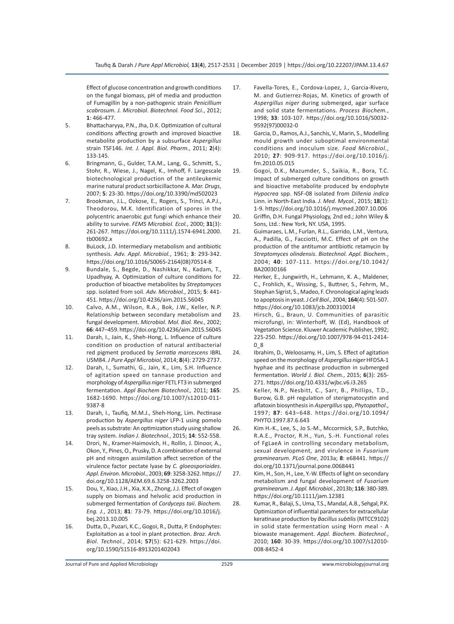Effect of glucose concentration and growth conditions on the fungal biomass, pH of media and production of Fumagillin by a non-pathogenic strain *Penicillium scabrosum*. *J. Microbiol. Biotechnol. Food Sci.*, 2012; **1**: 466-477.

- 5. Bhattacharyya, P.N., Jha, D.K. Optimization of cultural conditions affecting growth and improved bioactive metabolite production by a subsurface *Aspergillus* strain TSF146. *Int. J. Appl. Biol. Pharm.*, 2011; **2**(4): 133-145.
- 6. Bringmann, G., Gulder, T.A.M., Lang, G., Schmitt, S., Stohr, R., Wiese, J., Nagel, K., Imhoff, F. Largescale biotechnological production of the antileukemic marine natural product sorbicillactone A. *Mar. Drugs*, 2007; **5**: 23-30. https://doi.org/10.3390/md502023
- 7. Brookman, J.L., Ozkose, E., Rogers, S., Trinci, A.P.J., Theodorou, M.K. Identification of spores in the polycentric anaerobic gut fungi which enhance their ability to survive. *FEMS Microbiol. Ecol.*, 2000; **31**(3): 261-267. https://doi.org/10.1111/j.1574-6941.2000. tb00692.x
- 8. BuLock, J.D. Intermediary metabolism and antibiotic synthesis. *Adv. Appl. Microbiol.*, 1961; **3**: 293-342. https://doi.org/10.1016/S0065-2164(08)70514-8
- 9. Bundale, S., Begde, D., Nashikkar, N., Kadam, T., Upadhyay, A. Optimization of culture conditions for production of bioactive metabolites by *Streptomyces* spp. isolated from soil. *Adv. Microbiol.*, 2015; **5**: 441- 451. https://doi.org/10.4236/aim.2015.56045
- 10. Calvo, A.M., Wilson, R.A., Bok, J.W., Keller, N.P. Relationship between secondary metabolism and fungal development. *Microbiol. Mol. Biol. Rev.*, 2002; **66**: 447–459. https://doi.org/10.4236/aim.2015.56045
- 11. Darah, I., Jain, K., Sheh-Hong, L. Influence of culture condition on production of natural antibacterial red pigment produced by *Serratia marcescens* IBRL USM84. *J Pure Appl Microbiol*, 2014; **8**(4): 2729-2737.
- 12. Darah, I., Sumathi, G., Jain, K., Lim, S.H. Influence of agitation speed on tannase production and morphology of *Aspergillus niger* FETL FT3 in submerged fermentation. *Appl Biochem Biotechnol.,* 2011; **165**: 1682-1690. https://doi.org/10.1007/s12010-011- 9387-8
- 13. Darah, I., Taufiq, M.M.J., Sheh-Hong, Lim. Pectinase production by *Aspergillus niger* LFP-1 using pomelo peels as substrate: An optimization study using shallow tray system. *Indian J. Biotechnol.*, 2015; **14**: 552-558.
- 14. Drori, N., Kramer-Haimovich, H., Rollin, J. Dinoor, A., Okon, Y., Pines, O., Prusky, D. A combination of external pH and nitrogen assimilation affect secretion of the virulence factor pectate lyase by *C. gloeosporioides*. *Appl. Environ. Microbiol.*, 2003; **69**: 3258-3262. https:// doi.org/10.1128/AEM.69.6.3258-3262.2003
- 15. Dou, Y., Xiao, J.H., Xia, X.X., Zhong, J.J. Effect of oxygen supply on biomass and helvolic acid production in submerged fermentation of *Cordyceps taii*. *Biochem. Eng. J.*, 2013; **81**: 73-79. https://doi.org/10.1016/j. bej.2013.10.005
- 16. Dutta, D., Puzari, K.C., Gogoi, R., Dutta, P. Endophytes: Exploitation as a tool in plant protection. *Braz. Arch. Biol. Technol.*, 2014; **57**(5): 621-629. https://doi. org/10.1590/S1516-8913201402043
- 17. Favella-Tores, E., Cordova-Lopez, J., Garcia-Rivero, M. and Gutierrez-Rojas, M. Kinetics of growth of *Aspergillus niger* during submerged, agar surface and solid state fermentations. *Process Biochem.*, 1998; **33**: 103-107. https://doi.org/10.1016/S0032- 9592(97)00032-0
- 18. Garcia, D., Ramos, A.J., Sanchis, V., Marin, S., Modelling mould growth under suboptimal environmental conditions and inoculum size. *Food Microbiol.*, 2010; **27**: 909-917. https://doi.org/10.1016/j. fm.2010.05.015
- 19. Gogoi, D.K., Mazumder, S., Saikia, R., Bora, T.C. Impact of submerged culture conditions on growth and bioactive metabolite produced by endophyte *Hypocrea* spp. NSF-08 isolated from *Dillenia indica* Linn. in North-East India. *J. Med. Mycol.*, 2015; **18**(1): 1-9. https://doi.org/10.1016/j.mycmed.2007.10.006
- 20. Griffin, D.H. Fungal Physiology, 2nd ed.; John Wiley & Sons, Ltd.: New York, NY. USA, 1995.
- 21. Guimaraes, L.M., Furlan, R.L., Garrido, L.M., Ventura, A., Padilla, G., Facciotti, M.C. Effect of pH on the production of the antitumor antibiotic retamycin by *Streptomyces olindensis*. *Biotechnol. Appl. Biochem.*, 2004; **40**: 107-111. https://doi.org/10.1042/ BA20030166
- 22. Herker, E., Jungwirth, H., Lehmann, K. A., Maldener, C., Frohlich, K., Wissing, S., Buttner, S., Fehrm, M., Stephan Sigrist, S., Madeo, F. Chronological aging leads to apoptosis in yeast. *J Cell Biol.*, 2004; **164**(4): 501-507. https://doi.org/10.1083/jcb.200310014
- 23. Hirsch, G., Braun, U. Communities of parasitic microfungi, in: Winterhoff, W. (Ed), Handbook of Vegetation Science. Kluwer Academic Publisher, 1992; 225-250. https://doi.org/10.1007/978-94-011-2414- 0\_8
- 24. Ibrahim, D., Weloosamy, H., Lim, S. Effect of agitation speed on the morphology of *Aspergillus niger* HFD5A-1 hyphae and its pectinase production in submerged fermentation. *World J. Biol. Chem.*, 2015; **6**(3): 265- 271. https://doi.org/10.4331/wjbc.v6.i3.265
- 25. Keller, N.P., Nesbitt, C., Sarr, B., Phillips, T.D., Burow, G.B. pH regulation of sterigmatocystin and aflatoxin biosynthesis in *Aspergillus* spp, *Phytopathol.*, 1997; **87**: 643–648. https://doi.org/10.1094/ PHYTO.1997.87.6.643
- 26. Kim H.-K., Lee, S., Jo S.-M., Mccormick, S.P., Butchko, R.A.E., Proctor, R.H., Yun, S.-H. Functional roles of FgLaeA in controlling secondary metabolism, sexual development, and virulence in *Fusarium graminearum*. *PLoS One*, 2013a; **8**: e68441. https:// doi.org/10.1371/journal.pone.0068441
- 27. Kim, H., Son, H., Lee, Y.-W. Effects of light on secondary metabolism and fungal development of *Fusarium graminearum*. *J. Appl. Microbiol.*, 2013b; **116**: 380-389. https://doi.org/10.1111/jam.12381
- 28. Kumar, R., Balaji, S., Uma, T.S., Mandal, A.B., Sehgal, P.K. Optimization of influential parameters for extracellular keratinase production by *Bacillus subtilis* (MTCC9102) in solid state fermentation using Horn meal - A biowaste management. *Appl. Biochem. Biotechnol.*, 2010; **160**: 30-39. https://doi.org/10.1007/s12010- 008-8452-4

Journal of Pure and Applied Microbiology 2529 www.microbiologyjournal.org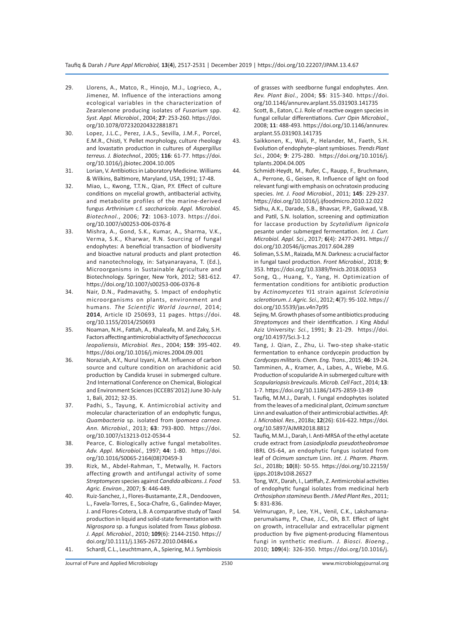- 29. Llorens, A., Matco, R., Hinojo, M.J., Logrieco, A., Jimenez, M. Influence of the interactions among ecological variables in the characterization of Zearalenone producing isolates of *Fusarium* spp. *Syst. Appl. Microbiol.*, 2004; **27**: 253-260. https://doi. org/10.1078/072320204322881871
- 30. Lopez, J.L.C., Perez, J.A.S., Sevilla, J.M.F., Porcel, E.M.R., Chisti, Y. Pellet morphology, culture rheology and lovastatin production in cultures of *Aspergillus terreus*. *J. Biotechnol.*, 2005; **116**: 61-77. https://doi. org/10.1016/j.jbiotec.2004.10.005
- 31. Lorian, V. Antibiotics in Laboratory Medicine. Williams & Wilkins, Baltimore, Maryland, USA, 1991; 17-48.
- 32. Miao, L., Kwong, T.T.N., Qian, P.Y. Effect of culture conditions on mycelial growth, antibacterial activity, and metabolite profiles of the marine-derived fungus *Arthrinium* c.f. *saccharicola*. *Appl. Microbiol. Biotechnol.*, 2006; **72**: 1063-1073. https://doi. org/10.1007/s00253-006-0376-8
- 33. Mishra, A., Gond, S.K., Kumar, A., Sharma, V.K., Verma, S.K., Kharwar, R.N. Sourcing of fungal endophytes: A beneficial transaction of biodiversity and bioactive natural products and plant protection and nanotechnology, in: Satyanarayana, T. (Ed.), Microorganisms in Sustainable Agriculture and Biotechnology. Springer, New York, 2012; 581-612. https://doi.org/10.1007/s00253-006-0376-8
- 34. Nair, D.N., Padmavathy, S. Impact of endophytic microorganisms on plants, environment and humans. *The Scientific World Journal*, 2014; **2014**, Article ID 250693, 11 pages. https://doi. org/10.1155/2014/250693
- 35. Noaman, N.H., Fattah, A., Khaleafa, M. and Zaky, S.H. Factors affecting antimicrobial activity of *Synechococcus leopoliensis*, *Microbiol. Res.*, 2004; **159**: 395-402. https://doi.org/10.1016/j.micres.2004.09.001
- 36. Noraziah, A.Y., Nurul Izyani, A.M. Influence of carbon source and culture condition on arachidonic acid production by Candida krusei in submerged culture. 2nd International Conference on Chemical, Biological and Environment Sciences (ICCEBS'2012) June 30-July 1, Bali, 2012; 32-35.
- 37. Padhi, S., Tayung, K. Antimicrobial activity and molecular characterization of an endophytic fungus, *Quambacteria* sp. isolated from *Ipomoea carnea*. *Ann. Microbiol.*, 2013; **63**: 793-800. https://doi. org/10.1007/s13213-012-0534-4
- 38. Pearce, C. Biologically active fungal metabolites. *Adv. Appl. Microbiol.*, 1997; **44**: 1-80. https://doi. org/10.1016/S0065-2164(08)70459-3
- 39. Rizk, M., Abdel-Rahman, T., Metwally, H. Factors affecting growth and antifungal activity of some *Streptomyces* species against *Candida albicans*. *J. Food Agric. Environ.*, 2007; **5**: 446-449.
- 40. Ruiz-Sanchez, J., Flores-Bustamante, Z.R., Dendooven, L., Favela-Torres, E., Soca-Chafre, G., Galindez-Mayer, J. and Flores-Cotera, L.B. A comparative study of Taxol production in liquid and solid-state fermentation with *Nigrospora* sp. a fungus isolated from *Taxus globosa*. *J. Appl. Microbiol.*, 2010; **109**(6): 2144-2150. https:// doi.org/10.1111/j.1365-2672.2010.04846.x
- 41. Schardl, C.L., Leuchtmann, A., Spiering, M.J. Symbiosis

of grasses with seedborne fungal endophytes. *Ann. Rev. Plant Biol.*, 2004; **55**: 315-340. https://doi. org/10.1146/annurev.arplant.55.031903.141735

- 42. Scott, B., Eaton, C.J. Role of reactive oxygen species in fungal cellular differentiations. *Curr Opin Microbiol.*, 2008; **11**: 488-493. https://doi.org/10.1146/annurev. arplant.55.031903.141735
- 43. Saikkonen, K., Wali, P., Helander, M., Faeth, S.H. Evolution of endophyte–plant symbioses. *Trends Plant Sci.*, 2004; **9**: 275-280. https://doi.org/10.1016/j. tplants.2004.04.005
- 44. Schmidt-Heydt, M., Rufer, C., Raupp, F., Bruchmann, A., Perrone, G., Geisen, R. Influence of light on food relevant fungi with emphasis on ochratoxin producing species. *Int. J. Food Microbiol.*, 2011; **145**: 229-237. https://doi.org/10.1016/j.ijfoodmicro.2010.12.022
- 45. Sidhu, A.K., Darade, S.B., Bhavsar, P.P., Gaikwad, V.B. and Patil, S.N. Isolation, screening and optimization for laccase production by *Scytalidium lignicola* pesante under submerged fermentation. *Int. J. Curr. Microbiol. Appl. Sci.*, 2017; **6**(4): 2477-2491. https:// doi.org/10.20546/ijcmas.2017.604.289
- 46. Soliman, S.S.M., Raizada, M.N. Darkness: a crucial factor in fungal taxol production. *Front Microbiol.*, 2018; **9**: 353. https://doi.org/10.3389/fmicb.2018.00353
- 47. Song, Q., Huang, Y., Yang, H. Optimization of fermentation conditions for antibiotic production by *Actinomycetes* YJ1 strain against *Sclerotinia sclerotiorum*. *J. Agric. Sci.*, 2012; **4**(7): 95-102. https:// doi.org/10.5539/jas.v4n7p95
- 48. Sejiny, M. Growth phases of some antibiotics producing *Streptomyces* and their identification. J King Abdul Aziz University: *Sci.*, 1991; **3**: 21-29. https://doi. org/10.4197/Sci.3-1.2
- 49. Tang, J. Qian, Z., Zhu, Li. Two-step shake-static fermentation to enhance cordycepin production by *Cordyceps militaris. Chem. Eng. Trans.*, 2015; **46**: 19-24.
- 50. Tamminen, A., Kramer, A., Labes, A., Wiebe, M.G. Production of scopularide A in submerged culture with *Scopulariopsis brevicaulis*. *Microb. Cell Fact.*, 2014; **13**: 1-7. https://doi.org/10.1186/1475-2859-13-89
- 51. Taufiq, M.M.J., Darah, I. Fungal endophytes isolated from the leaves of a medicinal plant, *Ocimum sanctum* Linn and evaluation of their antimicrobial activities. *Afr. J. Microbiol. Res.*, 2018a; **12**(26): 616-622. https://doi. org/10.5897/AJMR2018.8812
- 52. Taufiq, M.M.J., Darah, I. Anti-MRSA of the ethyl acetate crude extract from *Lasiodiplodia pseudotheobromae* IBRL OS-64, an endophytic fungus isolated from leaf of *Ocimum sanctum* Linn. *Int. J. Pharm. Pharm. Sci.*, 2018b; **10**(8): 50-55. https://doi.org/10.22159/ ijpps.2018v10i8.26527
- 53. Tong, W.Y., Darah, I., Latiffah, Z. Antimicrobial activities of endophytic fungal isolates from medicinal herb *Orthosiphon stamineus* Benth. *J Med Plant Res.*, 2011; **5**: 831-836.
- 54. Velmurugan, P., Lee, Y.H., Venil, C.K., Lakshamanaperumalsamy, P., Chae, J.C., Oh, B.T. Effect of light on growth, intracellular and extracellular pigment production by five pigment-producing filamentous fungi in synthetic medium. *J. Biosci. Bioeng.*, 2010; **109**(4): 326-350. https://doi.org/10.1016/j.

Journal of Pure and Applied Microbiology